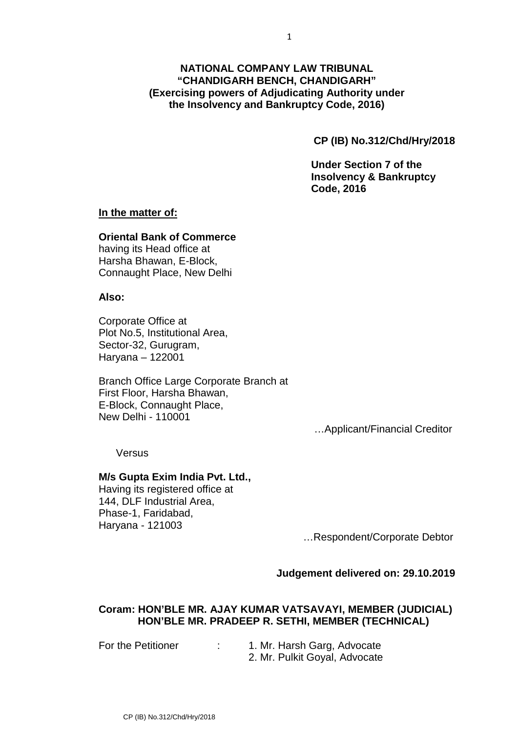# **NATIONAL COMPANY LAW TRIBUNAL "CHANDIGARH BENCH, CHANDIGARH" (Exercising powers of Adjudicating Authority under the Insolvency and Bankruptcy Code, 2016)**

**CP (IB) No.312/Chd/Hry/2018**

**Under Section 7 of the Insolvency & Bankruptcy Code, 2016**

## **In the matter of:**

## **Oriental Bank of Commerce**

having its Head office at Harsha Bhawan, E-Block, Connaught Place, New Delhi

## **Also:**

Corporate Office at Plot No.5, Institutional Area, Sector-32, Gurugram, Haryana – 122001

Branch Office Large Corporate Branch at First Floor, Harsha Bhawan, E-Block, Connaught Place, New Delhi - 110001

…Applicant/Financial Creditor

Versus

#### **M/s Gupta Exim India Pvt. Ltd.,**

Having its registered office at 144, DLF Industrial Area, Phase-1, Faridabad, Haryana - 121003

…Respondent/Corporate Debtor

#### **Judgement delivered on: 29.10.2019**

## **Coram: HON'BLE MR. AJAY KUMAR VATSAVAYI, MEMBER (JUDICIAL) HON'BLE MR. PRADEEP R. SETHI, MEMBER (TECHNICAL)**

For the Petitioner : 1. Mr. Harsh Garg, Advocate 2. Mr. Pulkit Goyal, Advocate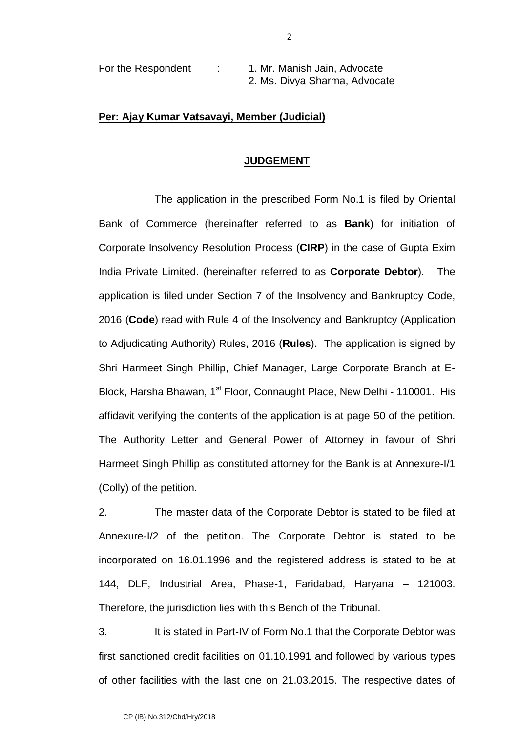| For the Respondent | 1. Mr. Manish Jain, Advocate  |
|--------------------|-------------------------------|
|                    | 2. Ms. Divya Sharma, Advocate |

## **Per: Ajay Kumar Vatsavayi, Member (Judicial)**

#### **JUDGEMENT**

The application in the prescribed Form No.1 is filed by Oriental Bank of Commerce (hereinafter referred to as **Bank**) for initiation of Corporate Insolvency Resolution Process (**CIRP**) in the case of Gupta Exim India Private Limited. (hereinafter referred to as **Corporate Debtor**). The application is filed under Section 7 of the Insolvency and Bankruptcy Code, 2016 (**Code**) read with Rule 4 of the Insolvency and Bankruptcy (Application to Adjudicating Authority) Rules, 2016 (**Rules**). The application is signed by Shri Harmeet Singh Phillip, Chief Manager, Large Corporate Branch at E- Block, Harsha Bhawan, 1<sup>st</sup> Floor, Connaught Place, New Delhi - 110001. His affidavit verifying the contents of the application is at page 50 of the petition. The Authority Letter and General Power of Attorney in favour of Shri Harmeet Singh Phillip as constituted attorney for the Bank is at Annexure-I/1 (Colly) of the petition.

2. The master data of the Corporate Debtor is stated to be filed at Annexure-I/2 of the petition. The Corporate Debtor is stated to be incorporated on 16.01.1996 and the registered address is stated to be at 144, DLF, Industrial Area, Phase-1, Faridabad, Haryana – 121003. Therefore, the jurisdiction lies with this Bench of the Tribunal.

3. It is stated in Part-IV of Form No.1 that the Corporate Debtor was first sanctioned credit facilities on 01.10.1991 and followed by various types of other facilities with the last one on 21.03.2015. The respective dates of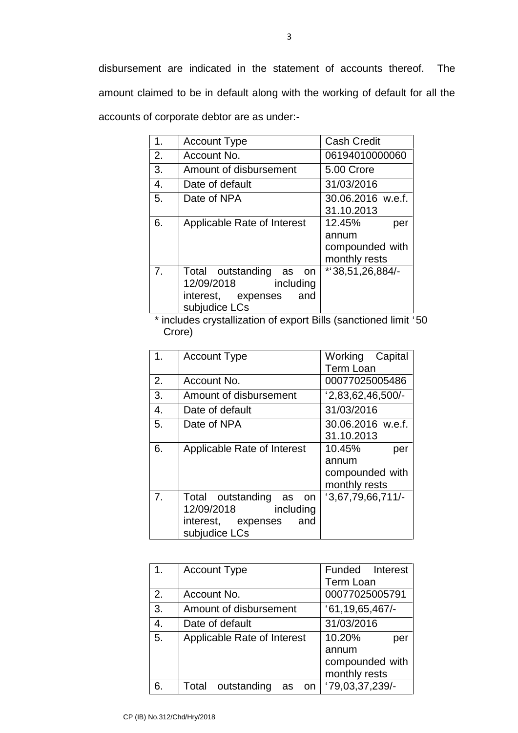disbursement are indicated in the statement of accounts thereof. The amount claimed to be in default along with the working of default for all the accounts of corporate debtor are as under:-

| 1. | <b>Account Type</b>            | <b>Cash Credit</b> |  |  |
|----|--------------------------------|--------------------|--|--|
| 2. | Account No.                    | 06194010000060     |  |  |
| 3. | Amount of disbursement         | 5.00 Crore         |  |  |
| 4. | Date of default                | 31/03/2016         |  |  |
| 5. | Date of NPA                    | 30.06.2016 w.e.f.  |  |  |
|    |                                | 31.10.2013         |  |  |
| 6. | Applicable Rate of Interest    | 12.45%<br>per      |  |  |
|    |                                | annum              |  |  |
|    |                                | compounded with    |  |  |
|    |                                | monthly rests      |  |  |
| 7. | Total outstanding<br>as<br>on. | *138,51,26,884/-   |  |  |
|    | 12/09/2018<br>including        |                    |  |  |
|    | interest, expenses<br>and      |                    |  |  |
|    | subjudice LCs                  |                    |  |  |

\* includes crystallization of export Bills (sanctioned limit `50 Crore)

| 1.             | <b>Account Type</b>                                                                                  | Working Capital<br><b>Term Loan</b>                        |  |  |
|----------------|------------------------------------------------------------------------------------------------------|------------------------------------------------------------|--|--|
| 2.             | Account No.                                                                                          | 00077025005486                                             |  |  |
| 3.             | Amount of disbursement                                                                               | $2,83,62,46,500$ <sup>-</sup>                              |  |  |
| 4.             | Date of default                                                                                      | 31/03/2016                                                 |  |  |
| 5.             | Date of NPA                                                                                          | 30.06.2016 w.e.f.<br>31.10.2013                            |  |  |
| 6.             | Applicable Rate of Interest                                                                          | 10.45%<br>per<br>annum<br>compounded with<br>monthly rests |  |  |
| 7 <sub>1</sub> | Total outstanding as<br>on.<br>12/09/2018<br>including<br>interest, expenses<br>and<br>subjudice LCs | 13,67,79,66,711/                                           |  |  |

| $\mathbf{1}$ . | <b>Account Type</b>              | Funded Interest    |  |  |
|----------------|----------------------------------|--------------------|--|--|
|                |                                  | <b>Term Loan</b>   |  |  |
| 2.             | Account No.                      | 00077025005791     |  |  |
| 3.             | Amount of disbursement           | '61, 19, 65, 467/  |  |  |
| 4.             | Date of default                  | 31/03/2016         |  |  |
| 5.             | Applicable Rate of Interest      | 10.20%<br>per      |  |  |
|                |                                  | annum              |  |  |
|                |                                  | compounded with    |  |  |
|                |                                  | monthly rests      |  |  |
| 6.             | Total<br>outstanding<br>as<br>on | $'79,03,37,239/$ - |  |  |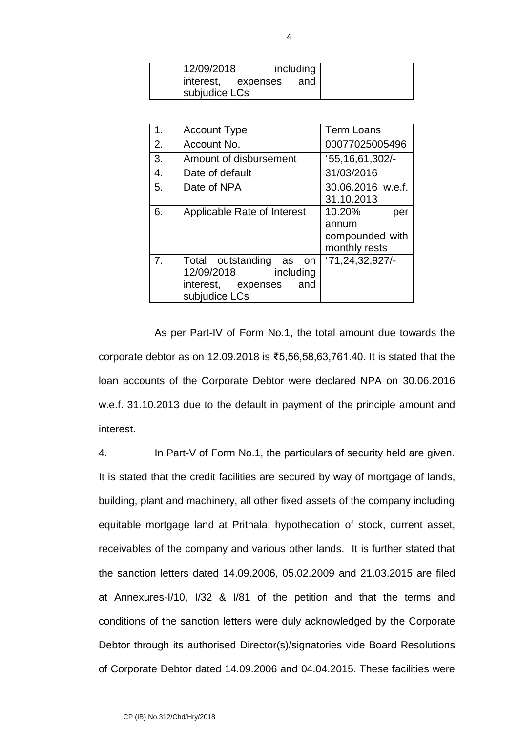| 12/09/2018    |                    | including |
|---------------|--------------------|-----------|
|               | interest, expenses | and       |
| subjudice LCs |                    |           |

| 1. | <b>Account Type</b>         | <b>Term Loans</b> |  |
|----|-----------------------------|-------------------|--|
| 2. | Account No.                 | 00077025005496    |  |
| 3. | Amount of disbursement      | 155, 16, 61, 302  |  |
| 4. | Date of default             | 31/03/2016        |  |
| 5. | Date of NPA                 | 30.06.2016 w.e.f. |  |
|    |                             | 31.10.2013        |  |
| 6. | Applicable Rate of Interest | 10.20%<br>per     |  |
|    |                             | annum             |  |
|    |                             | compounded with   |  |
|    |                             | monthly rests     |  |
| 7. | Total outstanding<br>as on  | '71,24,32,927/    |  |
|    | 12/09/2018<br>including     |                   |  |
|    | interest, expenses<br>and   |                   |  |
|    | subjudice LCs               |                   |  |

As per Part-IV of Form No.1, the total amount due towards the corporate debtor as on 12.09.2018 is ₹5,56,58,63,761.40. It is stated that the loan accounts of the Corporate Debtor were declared NPA on 30.06.2016 w.e.f. 31.10.2013 due to the default in payment of the principle amount and interest.

4. In Part-V of Form No.1, the particulars of security held are given. It is stated that the credit facilities are secured by way of mortgage of lands, building, plant and machinery, all other fixed assets of the company including equitable mortgage land at Prithala, hypothecation of stock, current asset, receivables of the company and various other lands. It is further stated that the sanction letters dated 14.09.2006, 05.02.2009 and 21.03.2015 are filed at Annexures-I/10, I/32 & I/81 of the petition and that the terms and conditions of the sanction letters were duly acknowledged by the Corporate Debtor through its authorised Director(s)/signatories vide Board Resolutions of Corporate Debtor dated 14.09.2006 and 04.04.2015. These facilities were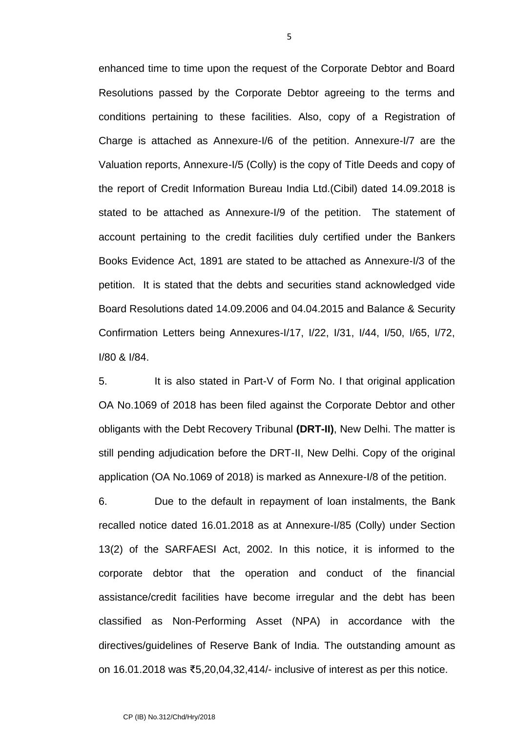enhanced time to time upon the request of the Corporate Debtor and Board Resolutions passed by the Corporate Debtor agreeing to the terms and conditions pertaining to these facilities. Also, copy of a Registration of Charge is attached as Annexure-I/6 of the petition. Annexure-I/7 are the Valuation reports, Annexure-I/5 (Colly) is the copy of Title Deeds and copy of the report of Credit Information Bureau India Ltd.(Cibil) dated 14.09.2018 is stated to be attached as Annexure-I/9 of the petition. The statement of account pertaining to the credit facilities duly certified under the Bankers Books Evidence Act,1891 are stated to be attached as Annexure-I/3 of the petition. It is stated that the debts and securities stand acknowledged vide Board Resolutions dated 14.09.2006 and 04.04.2015 and Balance & Security Confirmation Letters being Annexures-I/17, I/22, I/31, I/44, I/50, I/65, I/72, I/80 & I/84.

5. It is also stated in Part-V of Form No. I that original application OA No.1069 of 2018 has been filed against the Corporate Debtor and other obligants with the Debt Recovery Tribunal **(DRT-II)**, New Delhi. The matter is still pending adjudication before the DRT-II, New Delhi. Copy of the original application (OA No.1069 of 2018) is marked as Annexure-I/8 of the petition.

6. Due to the default in repayment of loan instalments, the Bank recalled notice dated 16.01.2018 as at Annexure-I/85 (Colly) under Section 13(2) of the SARFAESI Act, 2002. In this notice, it is informed to the corporate debtor that the operation and conduct of the financial assistance/credit facilities have become irregular and the debt has been classified as Non-Performing Asset (NPA) in accordance with the directives/guidelines of Reserve Bank of India. The outstanding amount as on 16.01.2018 was ₹5,20,04,32,414/- inclusive of interest as per this notice.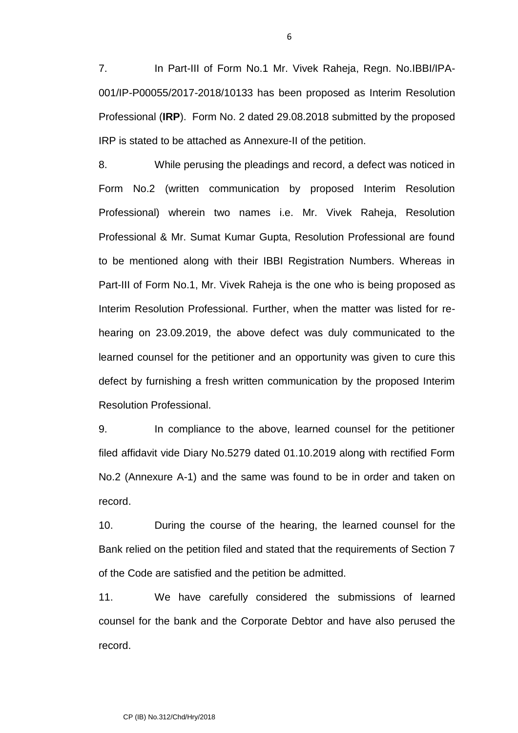7. In Part-III of Form No.1 Mr. Vivek Raheja, Regn. No.IBBI/IPA- 001/IP-P00055/2017-2018/10133 has been proposed as Interim Resolution Professional (**IRP**). Form No. 2 dated 29.08.2018 submitted by the proposed IRP is stated to be attached as Annexure-II of the petition.

8. While perusing the pleadings and record, a defect was noticed in Form No.2 (written communication by proposed Interim Resolution Professional) wherein two names i.e. Mr. Vivek Raheja, Resolution Professional & Mr. Sumat Kumar Gupta, Resolution Professional are found to be mentioned along with their IBBI Registration Numbers. Whereas in Part-III of Form No.1, Mr. Vivek Raheja is the one who is being proposed as Interim Resolution Professional. Further, when the matter was listed for re hearing on 23.09.2019, the above defect was duly communicated to the learned counsel for the petitioner and an opportunity was given to cure this defect by furnishing a fresh written communication by the proposed Interim Resolution Professional.

9. In compliance to the above, learned counsel for the petitioner filed affidavit vide Diary No.5279 dated 01.10.2019 along with rectified Form No.2 (Annexure A-1) and the same was found to be in order and taken on record.

10. During the course of the hearing, the learned counsel for the Bank relied on the petition filed and stated that the requirements of Section 7 of the Code are satisfied and the petition be admitted.

11. We have carefully considered the submissions of learned counsel for the bank and the Corporate Debtor and have also perused the record.

6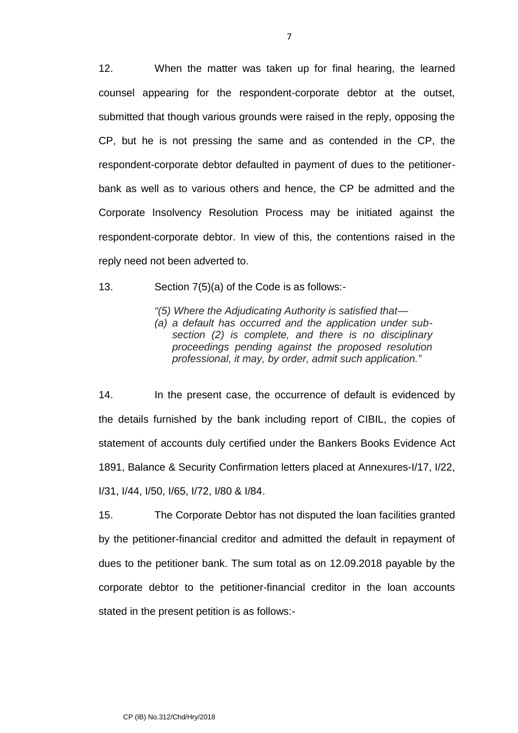12. When the matter was taken up for final hearing, the learned counsel appearing for the respondent-corporate debtor at the outset, submitted that though various grounds were raised in the reply, opposing the CP, but he is not pressing the same and as contended in the CP, the respondent-corporate debtor defaulted in payment of dues to the petitioner bank as well as to various others and hence, the CP be admitted and the Corporate Insolvency Resolution Process may be initiated against the respondent-corporate debtor. In view of this, the contentions raised in the reply need not been adverted to.

13. Section 7(5)(a) of the Code is as follows:-

*"(5) Where the Adjudicating Authority is satisfied that—*

*(a) a default has occurred and the application under sub section (2) is complete, and there is no disciplinary proceedings pending against the proposed resolution professional, it may, by order, admit such application."*

14. In the present case, the occurrence of default is evidenced by the details furnished by the bank including report of CIBIL, the copies of statement of accounts duly certified under the Bankers Books Evidence Act 1891, Balance & Security Confirmation letters placed at Annexures-I/17, I/22, I/31, I/44, I/50, I/65, I/72, I/80 & I/84.

15. The Corporate Debtor has not disputed the loan facilities granted by the petitioner-financial creditor and admitted the default in repayment of dues to the petitioner bank. The sum total as on 12.09.2018 payable by the corporate debtor to the petitioner-financial creditor in the loan accounts stated in the present petition is as follows:-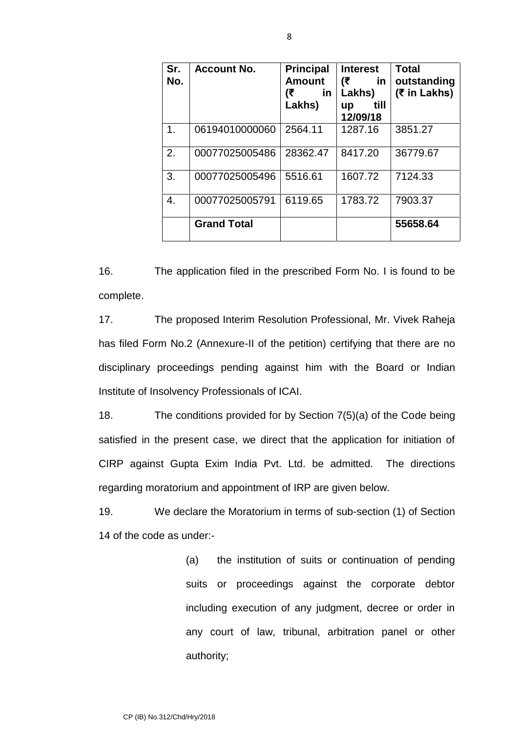| Sr.<br>No. | <b>Account No.</b> | <b>Principal</b><br><b>Amount</b><br>(₹<br><u>in</u><br>Lakhs) | <b>Interest</b><br>(₹<br><u>in</u><br>Lakhs)<br>till<br>up<br>12/09/18 | <b>Total</b><br>outstanding<br>(₹ in Lakhs) |
|------------|--------------------|----------------------------------------------------------------|------------------------------------------------------------------------|---------------------------------------------|
| 1.         | 06194010000060     | 2564.11                                                        | 1287.16                                                                | 3851.27                                     |
| 2.         | 00077025005486     | 28362.47                                                       | 8417.20                                                                | 36779.67                                    |
| 3.         | 00077025005496     | 5516.61                                                        | 1607.72                                                                | 7124.33                                     |
| 4.         | 00077025005791     | 6119.65                                                        | 1783.72                                                                | 7903.37                                     |
|            | <b>Grand Total</b> |                                                                |                                                                        | 55658.64                                    |

16. The application filed in the prescribed Form No. I is found to be complete.

17. The proposed Interim Resolution Professional, Mr. Vivek Raheja has filed Form No.2 (Annexure-II of the petition) certifying that there are no disciplinary proceedings pending against him with the Board or Indian Institute of Insolvency Professionals of ICAI.

18. The conditions provided for by Section 7(5)(a) of the Code being satisfied in the present case, we direct that the application for initiation of CIRP against Gupta Exim India Pvt. Ltd. be admitted. The directions regarding moratorium and appointment of IRP are given below.

19. We declare the Moratorium in terms of sub-section (1) of Section 14 of the code as under:-

> (a) the institution of suits or continuation of pending suits or proceedings against the corporate debtor including execution of any judgment, decree or order in any court of law, tribunal, arbitration panel or other authority;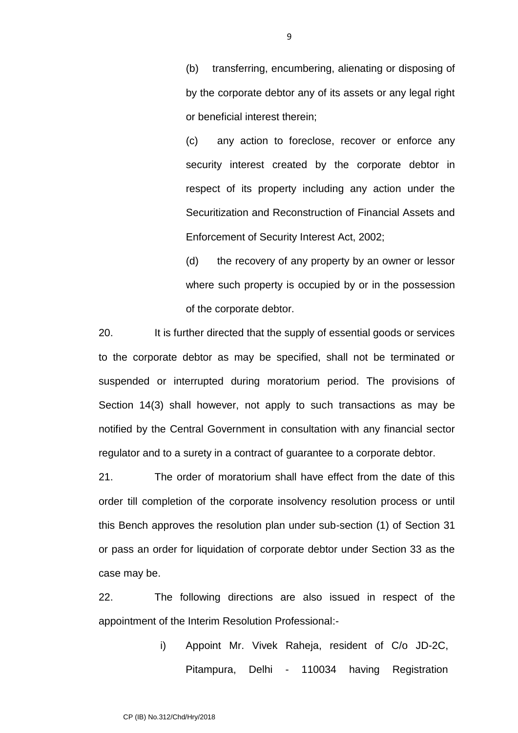(b) transferring, encumbering, alienating or disposing of by the corporate debtor any of its assets or any legal right or beneficial interest therein;

(c) any action to foreclose, recover or enforce any security interest created by the corporate debtor in respect of its property including any action under the Securitization and Reconstruction of Financial Assets and Enforcement of Security Interest Act, 2002;

(d) the recovery of any property by an owner or lessor where such property is occupied by or in the possession of the corporate debtor.

20. It is further directed that the supply of essential goods or services to the corporate debtor as may be specified, shall not be terminated or suspended or interrupted during moratorium period. The provisions of Section 14(3) shall however, not apply to such transactions as may be notified by the Central Government in consultation with any financial sector regulator and to a surety in a contract of guarantee to a corporate debtor.

21. The order of moratorium shall have effect from the date of this order till completion of the corporate insolvency resolution process or until this Bench approves the resolution plan under sub-section (1) of Section 31 or pass an order for liquidation of corporate debtor under Section 33 as the case may be.

22. The following directions are also issued in respect of the appointment of the Interim Resolution Professional:-

> i) Appoint Mr. Vivek Raheja, resident of C/o JD-2C, Pitampura, Delhi - 110034 having Registration

9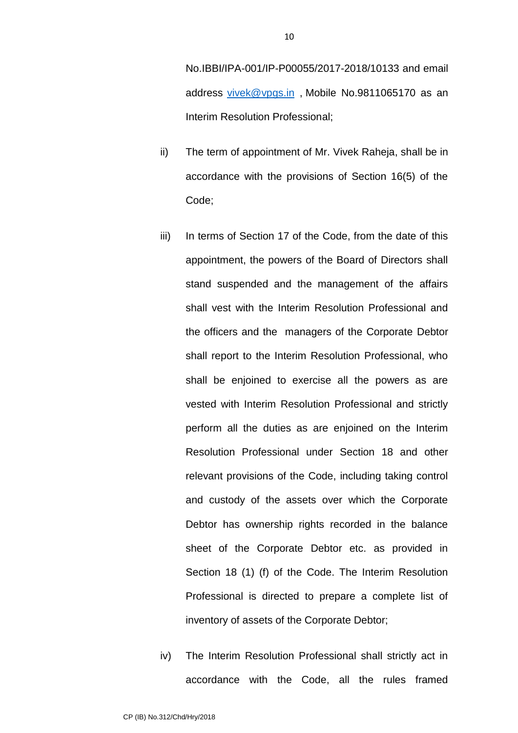No.IBBI/IPA-001/IP-P00055/2017-2018/10133 and email address vivek@vpgs.in , Mobile No.9811065170 as an Interim Resolution Professional;

- ii) The term of appointment of Mr. Vivek Raheja, shall be in accordance with the provisions of Section 16(5) of the Code;
- iii) In terms of Section 17 of the Code, from the date of this appointment, the powers of the Board of Directors shall stand suspended and the management of the affairs shall vest with the Interim Resolution Professional and the officers and the managers of the Corporate Debtor shall report to the Interim Resolution Professional, who shall be enjoined to exercise all the powers as are vested with Interim Resolution Professional and strictly perform all the duties as are enjoined on the Interim Resolution Professional under Section 18 and other relevant provisions of the Code, including taking control and custody of the assets over which the Corporate Debtor has ownership rights recorded in the balance sheet of the Corporate Debtor etc. as provided in Section 18 (1) (f) of the Code. The Interim Resolution Professional is directed to prepare a complete list of inventory of assets of the Corporate Debtor;
- iv) The Interim Resolution Professional shall strictly act in accordance with the Code, all the rules framed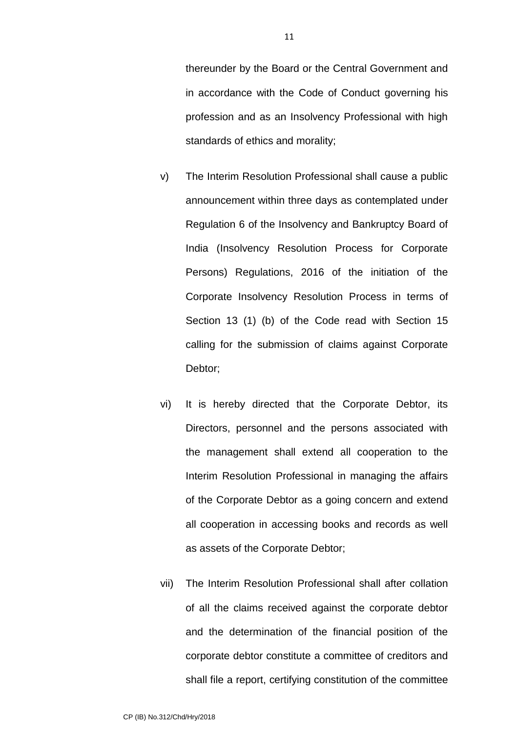thereunder by the Board or the Central Government and in accordance with the Code of Conduct governing his profession and as an Insolvency Professional with high standards of ethics and morality;

- v) The Interim Resolution Professional shall cause a public announcement within three days as contemplated under Regulation 6 of the Insolvency and Bankruptcy Board of India (Insolvency Resolution Process for Corporate Persons) Regulations, 2016 of the initiation of the Corporate Insolvency Resolution Process in terms of Section 13 (1) (b) of the Code read with Section 15 calling for the submission of claims against Corporate Debtor;
- vi) It is hereby directed that the Corporate Debtor, its Directors, personnel and the persons associated with the management shall extend all cooperation to the Interim Resolution Professional in managing the affairs of the Corporate Debtor as a going concern and extend all cooperation in accessing books and records as well as assets of the Corporate Debtor;
- vii) The Interim Resolution Professional shall after collation of all the claims received against the corporate debtor and the determination of the financial position of the corporate debtor constitute a committee of creditors and shall file a report, certifying constitution of the committee